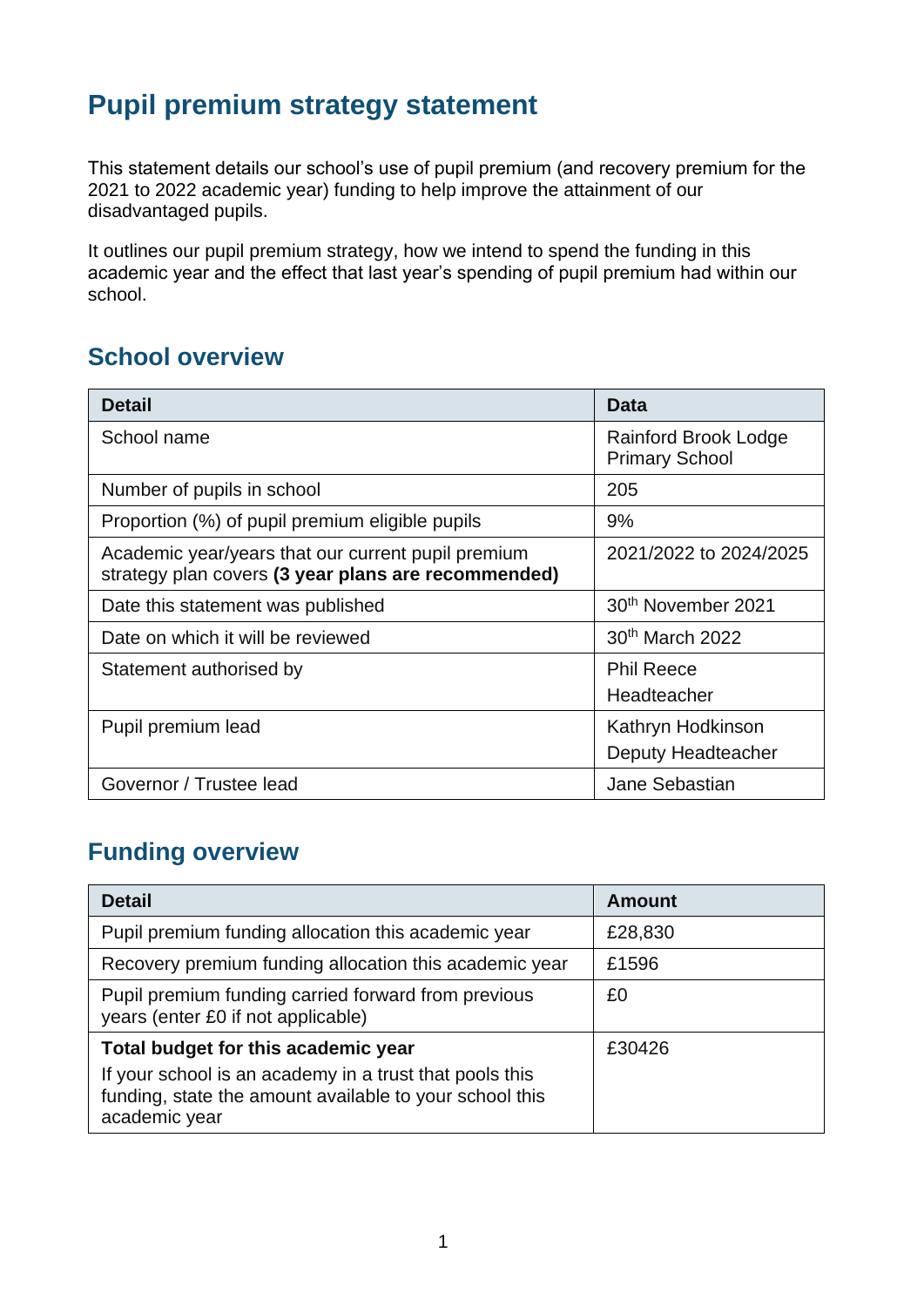# **Pupil premium strategy statement**

This statement details our school's use of pupil premium (and recovery premium for the 2021 to 2022 academic year) funding to help improve the attainment of our disadvantaged pupils.

It outlines our pupil premium strategy, how we intend to spend the funding in this academic year and the effect that last year's spending of pupil premium had within our school.

### **School overview**

| <b>Detail</b>                                                                                             | <b>Data</b>                                   |
|-----------------------------------------------------------------------------------------------------------|-----------------------------------------------|
| School name                                                                                               | Rainford Brook Lodge<br><b>Primary School</b> |
| Number of pupils in school                                                                                | 205                                           |
| Proportion (%) of pupil premium eligible pupils                                                           | 9%                                            |
| Academic year/years that our current pupil premium<br>strategy plan covers (3 year plans are recommended) | 2021/2022 to 2024/2025                        |
| Date this statement was published                                                                         | 30th November 2021                            |
| Date on which it will be reviewed                                                                         | 30th March 2022                               |
| Statement authorised by                                                                                   | <b>Phil Reece</b><br>Headteacher              |
| Pupil premium lead                                                                                        | Kathryn Hodkinson<br>Deputy Headteacher       |
| Governor / Trustee lead                                                                                   | Jane Sebastian                                |

## **Funding overview**

| <b>Detail</b>                                                                                                                       | Amount  |
|-------------------------------------------------------------------------------------------------------------------------------------|---------|
| Pupil premium funding allocation this academic year                                                                                 | £28,830 |
| Recovery premium funding allocation this academic year                                                                              | £1596   |
| Pupil premium funding carried forward from previous<br>years (enter £0 if not applicable)                                           | £0      |
| Total budget for this academic year                                                                                                 | £30426  |
| If your school is an academy in a trust that pools this<br>funding, state the amount available to your school this<br>academic year |         |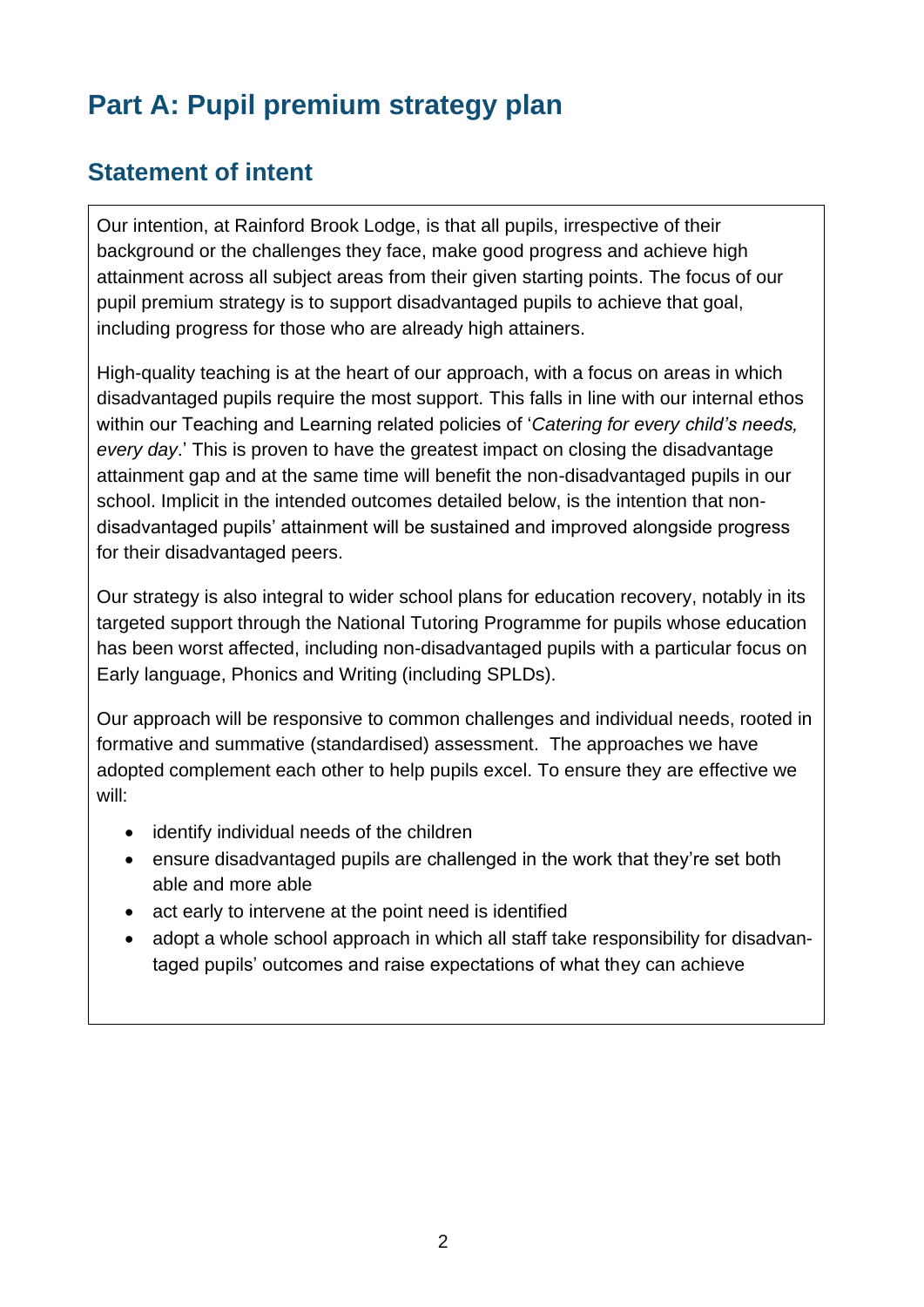# **Part A: Pupil premium strategy plan**

# **Statement of intent**

Our intention, at Rainford Brook Lodge, is that all pupils, irrespective of their background or the challenges they face, make good progress and achieve high attainment across all subject areas from their given starting points. The focus of our pupil premium strategy is to support disadvantaged pupils to achieve that goal, including progress for those who are already high attainers.

High-quality teaching is at the heart of our approach, with a focus on areas in which disadvantaged pupils require the most support. This falls in line with our internal ethos within our Teaching and Learning related policies of '*Catering for every child's needs, every day*.' This is proven to have the greatest impact on closing the disadvantage attainment gap and at the same time will benefit the non-disadvantaged pupils in our school. Implicit in the intended outcomes detailed below, is the intention that nondisadvantaged pupils' attainment will be sustained and improved alongside progress for their disadvantaged peers.

Our strategy is also integral to wider school plans for education recovery, notably in its targeted support through the National Tutoring Programme for pupils whose education has been worst affected, including non-disadvantaged pupils with a particular focus on Early language, Phonics and Writing (including SPLDs).

Our approach will be responsive to common challenges and individual needs, rooted in formative and summative (standardised) assessment. The approaches we have adopted complement each other to help pupils excel. To ensure they are effective we will:

- identify individual needs of the children
- ensure disadvantaged pupils are challenged in the work that they're set both able and more able
- act early to intervene at the point need is identified
- adopt a whole school approach in which all staff take responsibility for disadvantaged pupils' outcomes and raise expectations of what they can achieve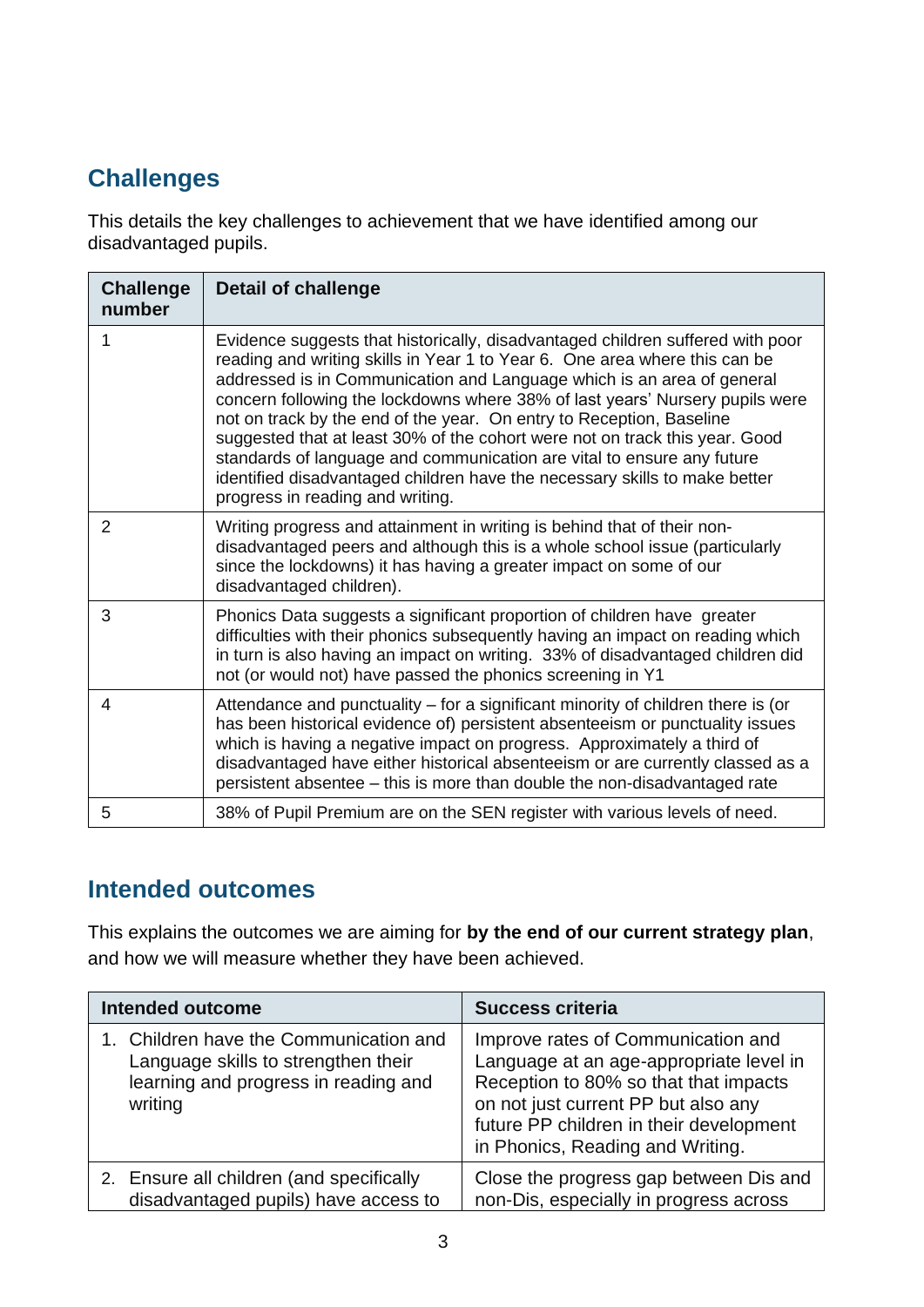# **Challenges**

This details the key challenges to achievement that we have identified among our disadvantaged pupils.

| <b>Challenge</b><br>number | <b>Detail of challenge</b>                                                                                                                                                                                                                                                                                                                                                                                                                                                                                                                                                                                                                                                |
|----------------------------|---------------------------------------------------------------------------------------------------------------------------------------------------------------------------------------------------------------------------------------------------------------------------------------------------------------------------------------------------------------------------------------------------------------------------------------------------------------------------------------------------------------------------------------------------------------------------------------------------------------------------------------------------------------------------|
|                            | Evidence suggests that historically, disadvantaged children suffered with poor<br>reading and writing skills in Year 1 to Year 6. One area where this can be<br>addressed is in Communication and Language which is an area of general<br>concern following the lockdowns where 38% of last years' Nursery pupils were<br>not on track by the end of the year. On entry to Reception, Baseline<br>suggested that at least 30% of the cohort were not on track this year. Good<br>standards of language and communication are vital to ensure any future<br>identified disadvantaged children have the necessary skills to make better<br>progress in reading and writing. |
| 2                          | Writing progress and attainment in writing is behind that of their non-<br>disadvantaged peers and although this is a whole school issue (particularly<br>since the lockdowns) it has having a greater impact on some of our<br>disadvantaged children).                                                                                                                                                                                                                                                                                                                                                                                                                  |
| 3                          | Phonics Data suggests a significant proportion of children have greater<br>difficulties with their phonics subsequently having an impact on reading which<br>in turn is also having an impact on writing. 33% of disadvantaged children did<br>not (or would not) have passed the phonics screening in Y1                                                                                                                                                                                                                                                                                                                                                                 |
| 4                          | Attendance and punctuality – for a significant minority of children there is (or<br>has been historical evidence of) persistent absenteeism or punctuality issues<br>which is having a negative impact on progress. Approximately a third of<br>disadvantaged have either historical absenteeism or are currently classed as a<br>persistent absentee – this is more than double the non-disadvantaged rate                                                                                                                                                                                                                                                               |
| 5                          | 38% of Pupil Premium are on the SEN register with various levels of need.                                                                                                                                                                                                                                                                                                                                                                                                                                                                                                                                                                                                 |

### **Intended outcomes**

This explains the outcomes we are aiming for **by the end of our current strategy plan**, and how we will measure whether they have been achieved.

| <b>Intended outcome</b>                                                                                                          | <b>Success criteria</b>                                                                                                                                                                                                                      |
|----------------------------------------------------------------------------------------------------------------------------------|----------------------------------------------------------------------------------------------------------------------------------------------------------------------------------------------------------------------------------------------|
| 1. Children have the Communication and<br>Language skills to strengthen their<br>learning and progress in reading and<br>writing | Improve rates of Communication and<br>Language at an age-appropriate level in<br>Reception to 80% so that that impacts<br>on not just current PP but also any<br>future PP children in their development<br>in Phonics, Reading and Writing. |
| 2. Ensure all children (and specifically<br>disadvantaged pupils) have access to                                                 | Close the progress gap between Dis and<br>non-Dis, especially in progress across                                                                                                                                                             |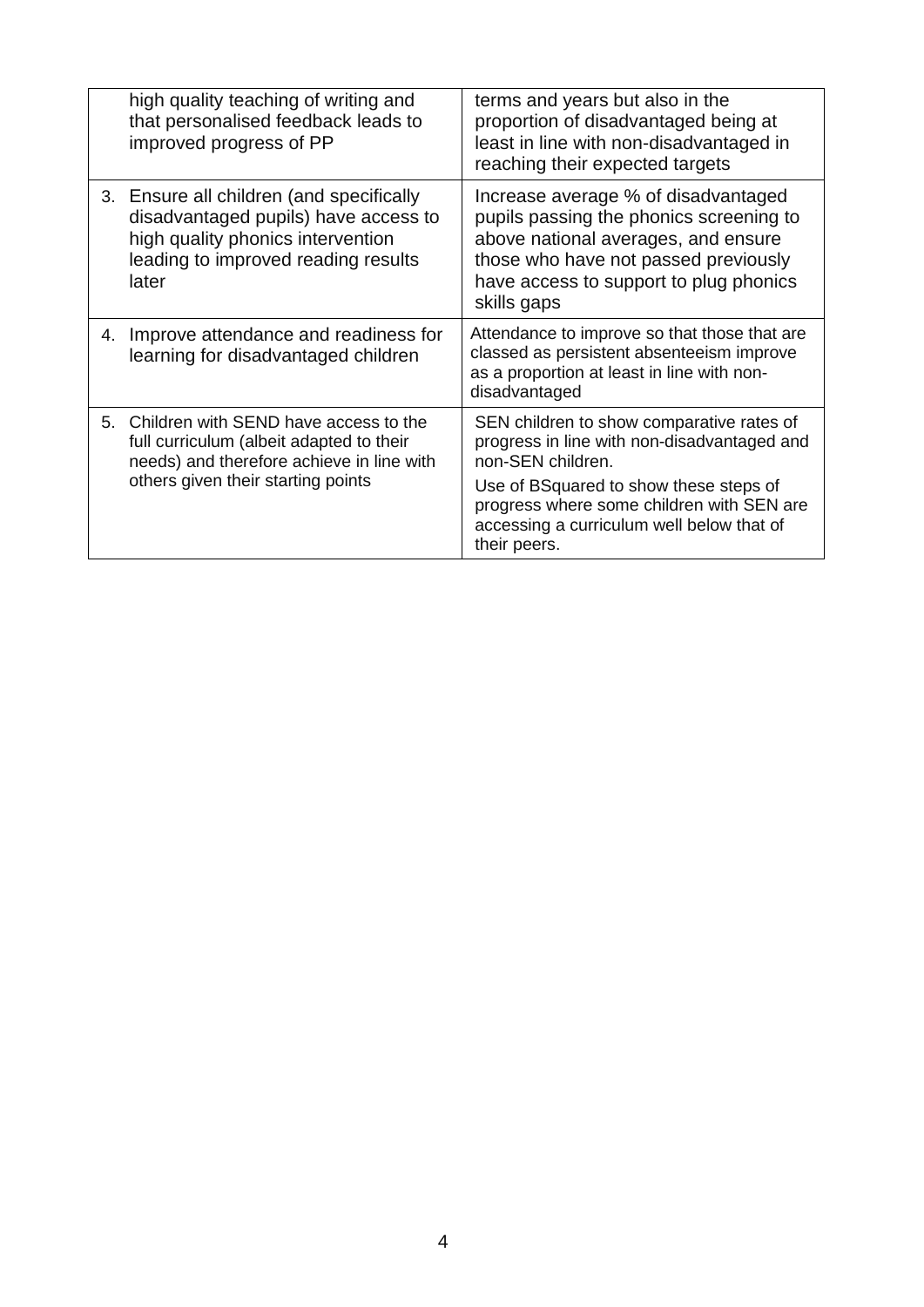|    | high quality teaching of writing and<br>that personalised feedback leads to<br>improved progress of PP                                                                | terms and years but also in the<br>proportion of disadvantaged being at<br>least in line with non-disadvantaged in<br>reaching their expected targets                                                                                                             |
|----|-----------------------------------------------------------------------------------------------------------------------------------------------------------------------|-------------------------------------------------------------------------------------------------------------------------------------------------------------------------------------------------------------------------------------------------------------------|
|    | 3. Ensure all children (and specifically<br>disadvantaged pupils) have access to<br>high quality phonics intervention<br>leading to improved reading results<br>later | Increase average % of disadvantaged<br>pupils passing the phonics screening to<br>above national averages, and ensure<br>those who have not passed previously<br>have access to support to plug phonics<br>skills gaps                                            |
| 4. | Improve attendance and readiness for<br>learning for disadvantaged children                                                                                           | Attendance to improve so that those that are<br>classed as persistent absenteeism improve<br>as a proportion at least in line with non-<br>disadvantaged                                                                                                          |
| 5. | Children with SEND have access to the<br>full curriculum (albeit adapted to their<br>needs) and therefore achieve in line with<br>others given their starting points  | SEN children to show comparative rates of<br>progress in line with non-disadvantaged and<br>non-SEN children.<br>Use of BSquared to show these steps of<br>progress where some children with SEN are<br>accessing a curriculum well below that of<br>their peers. |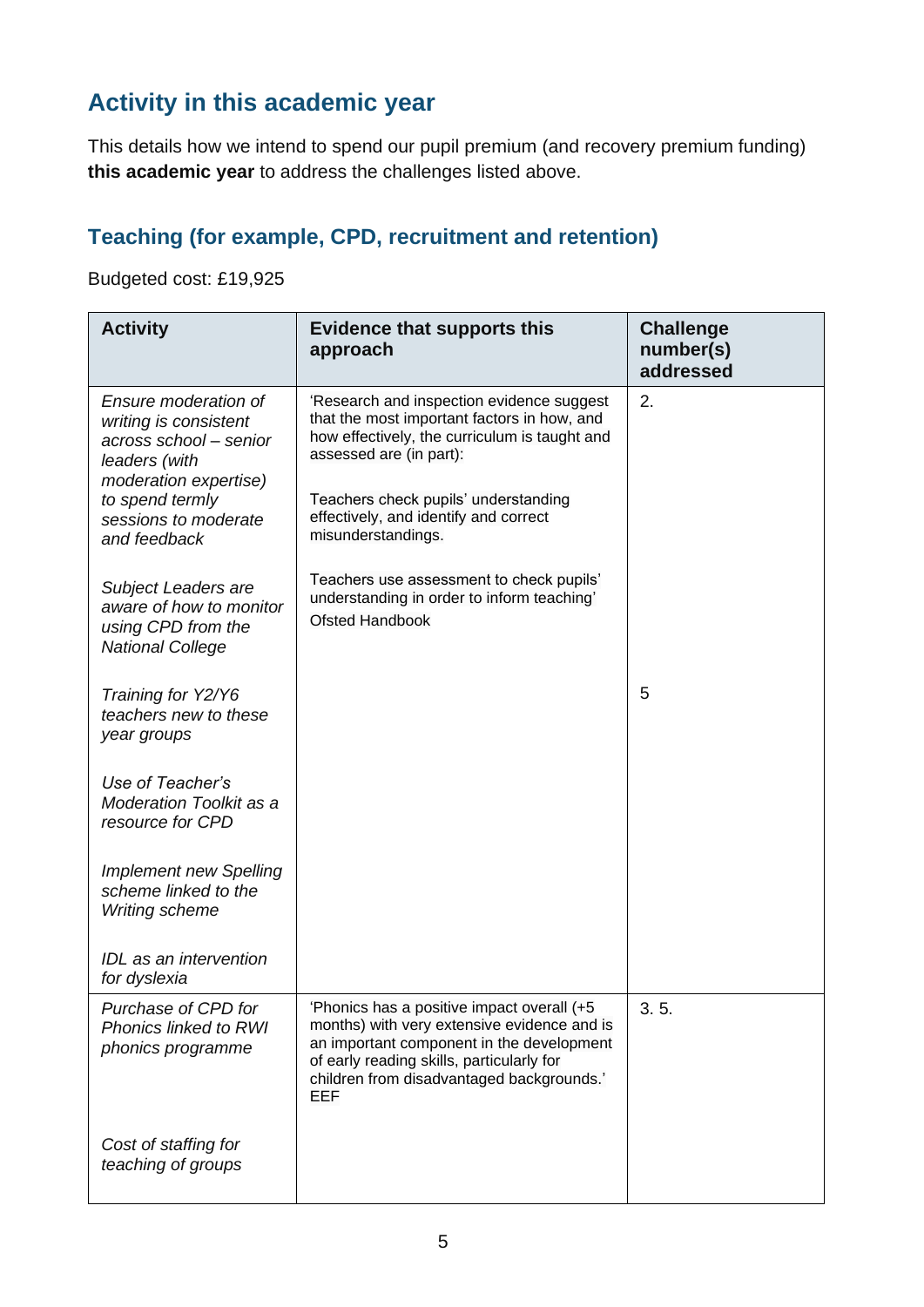# **Activity in this academic year**

This details how we intend to spend our pupil premium (and recovery premium funding) **this academic year** to address the challenges listed above.

## **Teaching (for example, CPD, recruitment and retention)**

Budgeted cost: £19,925

| <b>Activity</b>                                                                                                   | <b>Evidence that supports this</b><br>approach                                                                                                                                                                                          | <b>Challenge</b><br>number(s)<br>addressed |
|-------------------------------------------------------------------------------------------------------------------|-----------------------------------------------------------------------------------------------------------------------------------------------------------------------------------------------------------------------------------------|--------------------------------------------|
| Ensure moderation of<br>writing is consistent<br>across school - senior<br>leaders (with<br>moderation expertise) | 'Research and inspection evidence suggest<br>that the most important factors in how, and<br>how effectively, the curriculum is taught and<br>assessed are (in part):                                                                    | 2.                                         |
| to spend termly<br>sessions to moderate<br>and feedback                                                           | Teachers check pupils' understanding<br>effectively, and identify and correct<br>misunderstandings.                                                                                                                                     |                                            |
| Subject Leaders are<br>aware of how to monitor<br>using CPD from the<br><b>National College</b>                   | Teachers use assessment to check pupils'<br>understanding in order to inform teaching'<br><b>Ofsted Handbook</b>                                                                                                                        |                                            |
| Training for Y2/Y6<br>teachers new to these<br>year groups                                                        |                                                                                                                                                                                                                                         | 5                                          |
| Use of Teacher's<br><b>Moderation Toolkit as a</b><br>resource for CPD                                            |                                                                                                                                                                                                                                         |                                            |
| <b>Implement new Spelling</b><br>scheme linked to the<br><b>Writing scheme</b>                                    |                                                                                                                                                                                                                                         |                                            |
| IDL as an intervention<br>for dyslexia                                                                            |                                                                                                                                                                                                                                         |                                            |
| Purchase of CPD for<br><b>Phonics linked to RWI</b><br>phonics programme                                          | 'Phonics has a positive impact overall (+5<br>months) with very extensive evidence and is<br>an important component in the development<br>of early reading skills, particularly for<br>children from disadvantaged backgrounds.'<br>EEF | 3.5.                                       |
| Cost of staffing for<br>teaching of groups                                                                        |                                                                                                                                                                                                                                         |                                            |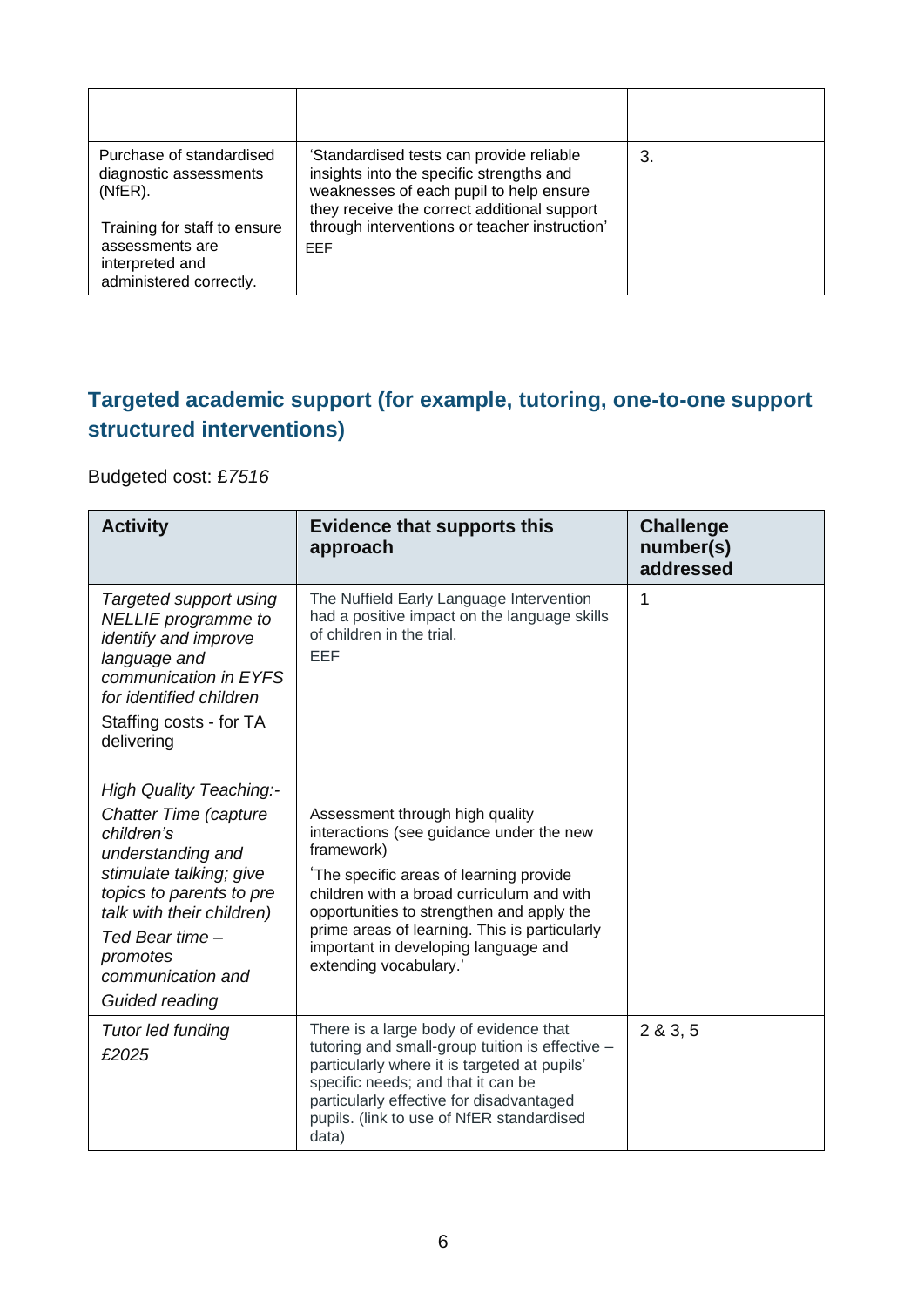| Purchase of standardised<br>diagnostic assessments<br>(NfER).<br>Training for staff to ensure | 'Standardised tests can provide reliable<br>insights into the specific strengths and<br>weaknesses of each pupil to help ensure<br>they receive the correct additional support<br>through interventions or teacher instruction' | З. |
|-----------------------------------------------------------------------------------------------|---------------------------------------------------------------------------------------------------------------------------------------------------------------------------------------------------------------------------------|----|
| assessments are<br>interpreted and<br>administered correctly.                                 | <b>FFF</b>                                                                                                                                                                                                                      |    |

### **Targeted academic support (for example, tutoring, one-to-one support structured interventions)**

#### Budgeted cost: £*7516*

| <b>Activity</b>                                                                                                                                                                                                                                             | <b>Evidence that supports this</b><br>approach                                                                                                                                                                                                                                                                                                   | <b>Challenge</b><br>number(s)<br>addressed |
|-------------------------------------------------------------------------------------------------------------------------------------------------------------------------------------------------------------------------------------------------------------|--------------------------------------------------------------------------------------------------------------------------------------------------------------------------------------------------------------------------------------------------------------------------------------------------------------------------------------------------|--------------------------------------------|
| Targeted support using<br><b>NELLIE</b> programme to<br>identify and improve<br>language and<br>communication in EYFS<br>for identified children<br>Staffing costs - for TA<br>delivering                                                                   | The Nuffield Early Language Intervention<br>had a positive impact on the language skills<br>of children in the trial.<br>EEF                                                                                                                                                                                                                     | 1                                          |
| <b>High Quality Teaching:-</b><br><b>Chatter Time (capture</b><br>children's<br>understanding and<br>stimulate talking; give<br>topics to parents to pre<br>talk with their children)<br>Ted Bear time -<br>promotes<br>communication and<br>Guided reading | Assessment through high quality<br>interactions (see guidance under the new<br>framework)<br>The specific areas of learning provide<br>children with a broad curriculum and with<br>opportunities to strengthen and apply the<br>prime areas of learning. This is particularly<br>important in developing language and<br>extending vocabulary.' |                                            |
| <b>Tutor led funding</b><br>£2025                                                                                                                                                                                                                           | There is a large body of evidence that<br>tutoring and small-group tuition is effective -<br>particularly where it is targeted at pupils'<br>specific needs; and that it can be<br>particularly effective for disadvantaged<br>pupils. (link to use of NfER standardised<br>data)                                                                | 2 & 3 & 5                                  |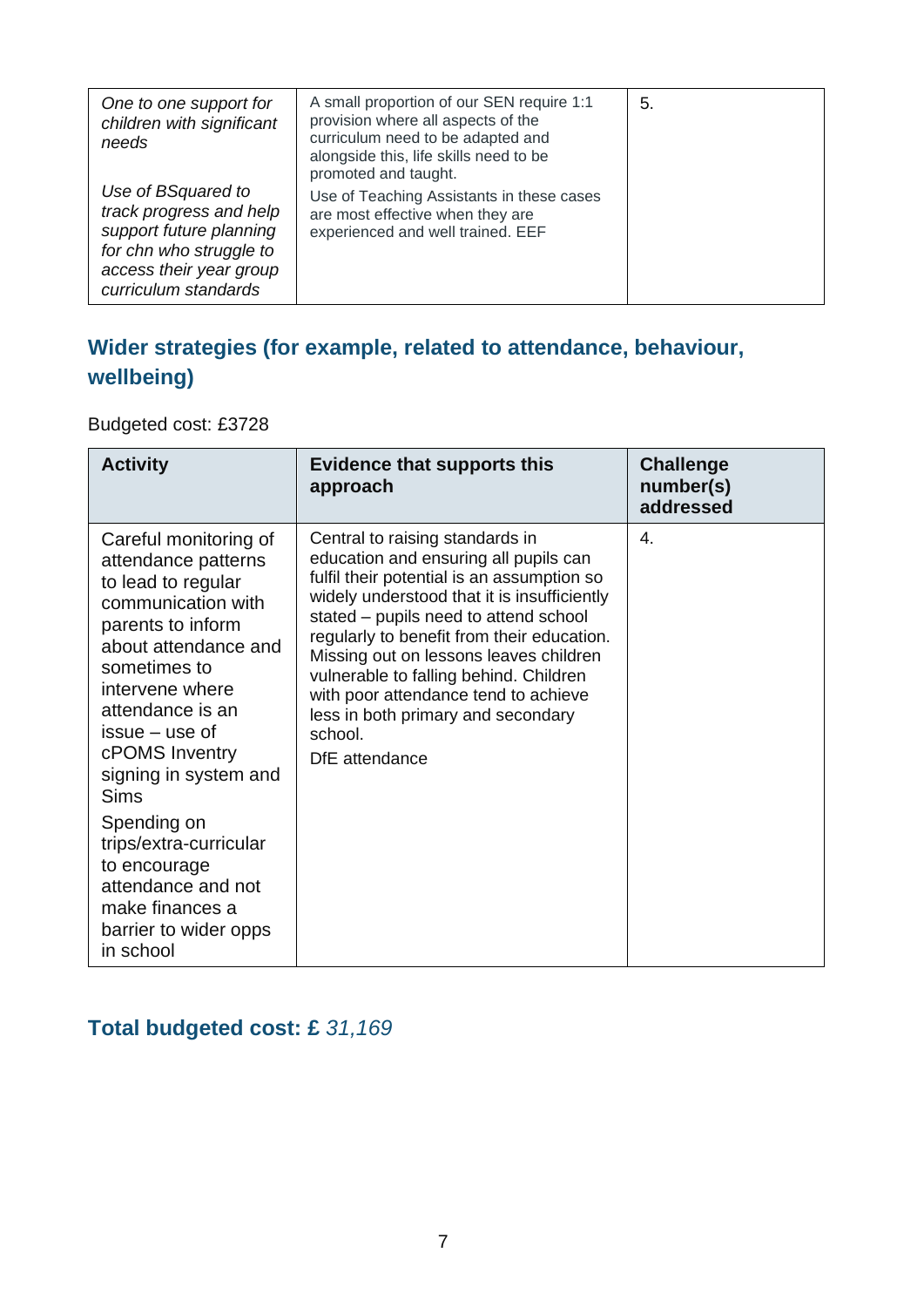| One to one support for<br>children with significant<br>needs                                                                                           | A small proportion of our SEN require 1:1<br>provision where all aspects of the<br>curriculum need to be adapted and<br>alongside this, life skills need to be<br>promoted and taught. | 5. |
|--------------------------------------------------------------------------------------------------------------------------------------------------------|----------------------------------------------------------------------------------------------------------------------------------------------------------------------------------------|----|
| Use of BSquared to<br>track progress and help<br>support future planning<br>for chn who struggle to<br>access their year group<br>curriculum standards | Use of Teaching Assistants in these cases<br>are most effective when they are<br>experienced and well trained. EEF                                                                     |    |

### **Wider strategies (for example, related to attendance, behaviour, wellbeing)**

Budgeted cost: £3728

| <b>Activity</b>                                                                                                                                                                                                                                                            | <b>Evidence that supports this</b><br>approach                                                                                                                                                                                                                                                                                                                                                                                                              | <b>Challenge</b><br>number(s)<br>addressed |
|----------------------------------------------------------------------------------------------------------------------------------------------------------------------------------------------------------------------------------------------------------------------------|-------------------------------------------------------------------------------------------------------------------------------------------------------------------------------------------------------------------------------------------------------------------------------------------------------------------------------------------------------------------------------------------------------------------------------------------------------------|--------------------------------------------|
| Careful monitoring of<br>attendance patterns<br>to lead to regular<br>communication with<br>parents to inform<br>about attendance and<br>sometimes to<br>intervene where<br>attendance is an<br>$issue - use of$<br>cPOMS Inventry<br>signing in system and<br><b>Sims</b> | Central to raising standards in<br>education and ensuring all pupils can<br>fulfil their potential is an assumption so<br>widely understood that it is insufficiently<br>stated - pupils need to attend school<br>regularly to benefit from their education.<br>Missing out on lessons leaves children<br>vulnerable to falling behind. Children<br>with poor attendance tend to achieve<br>less in both primary and secondary<br>school.<br>DfE attendance | 4.                                         |
| Spending on<br>trips/extra-curricular<br>to encourage<br>attendance and not<br>make finances a<br>barrier to wider opps<br>in school                                                                                                                                       |                                                                                                                                                                                                                                                                                                                                                                                                                                                             |                                            |

### **Total budgeted cost: £** *31,169*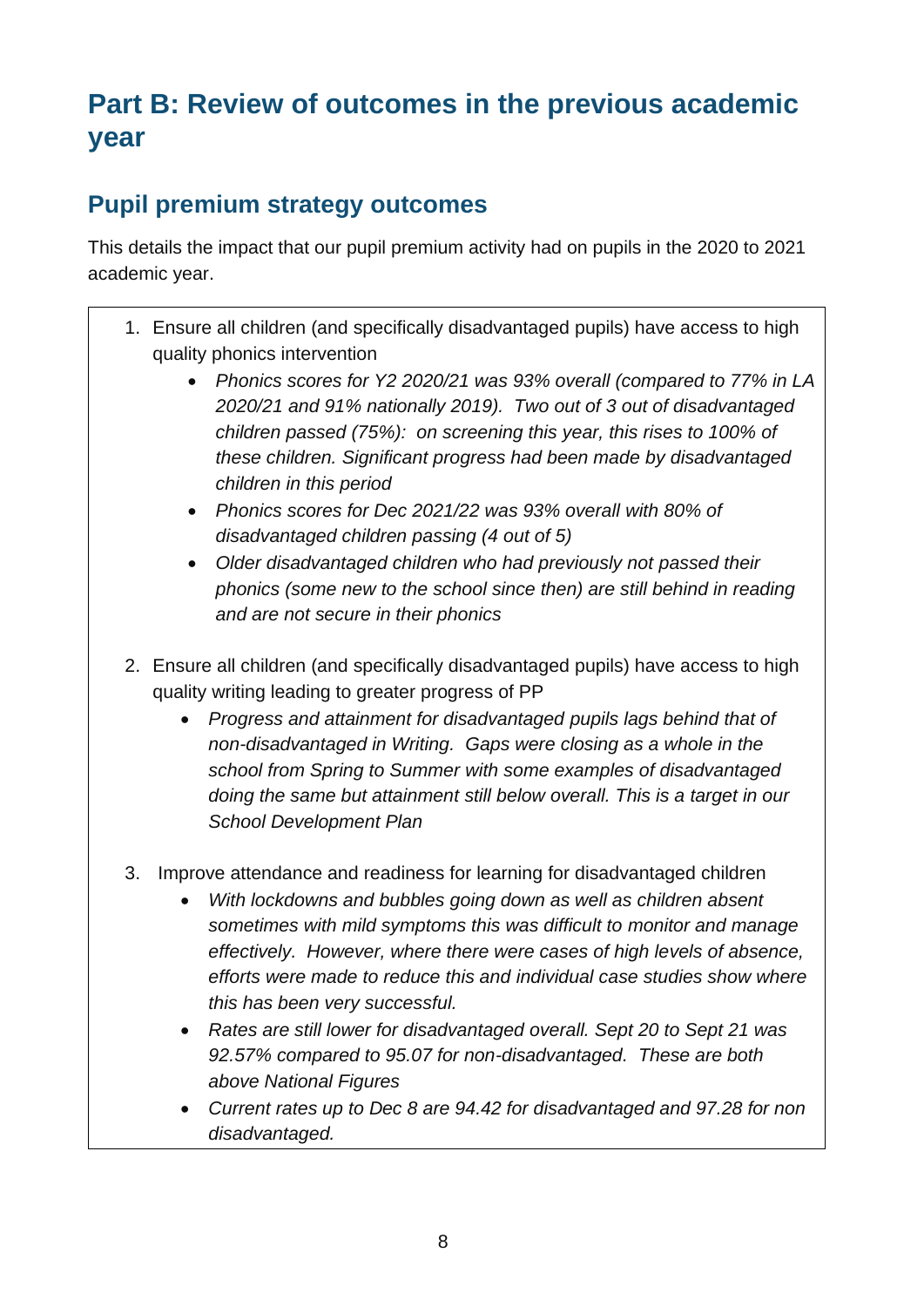# **Part B: Review of outcomes in the previous academic year**

## **Pupil premium strategy outcomes**

This details the impact that our pupil premium activity had on pupils in the 2020 to 2021 academic year.

- 1. Ensure all children (and specifically disadvantaged pupils) have access to high quality phonics intervention
	- *Phonics scores for Y2 2020/21 was 93% overall (compared to 77% in LA 2020/21 and 91% nationally 2019). Two out of 3 out of disadvantaged children passed (75%): on screening this year, this rises to 100% of these children. Significant progress had been made by disadvantaged children in this period*
	- *Phonics scores for Dec 2021/22 was 93% overall with 80% of disadvantaged children passing (4 out of 5)*
	- *Older disadvantaged children who had previously not passed their phonics (some new to the school since then) are still behind in reading and are not secure in their phonics*
- 2. Ensure all children (and specifically disadvantaged pupils) have access to high quality writing leading to greater progress of PP
	- *Progress and attainment for disadvantaged pupils lags behind that of non-disadvantaged in Writing. Gaps were closing as a whole in the school from Spring to Summer with some examples of disadvantaged doing the same but attainment still below overall. This is a target in our School Development Plan*
- 3. Improve attendance and readiness for learning for disadvantaged children
	- *With lockdowns and bubbles going down as well as children absent sometimes with mild symptoms this was difficult to monitor and manage effectively. However, where there were cases of high levels of absence, efforts were made to reduce this and individual case studies show where this has been very successful.*
	- *Rates are still lower for disadvantaged overall. Sept 20 to Sept 21 was 92.57% compared to 95.07 for non-disadvantaged. These are both above National Figures*
	- *Current rates up to Dec 8 are 94.42 for disadvantaged and 97.28 for non disadvantaged.*